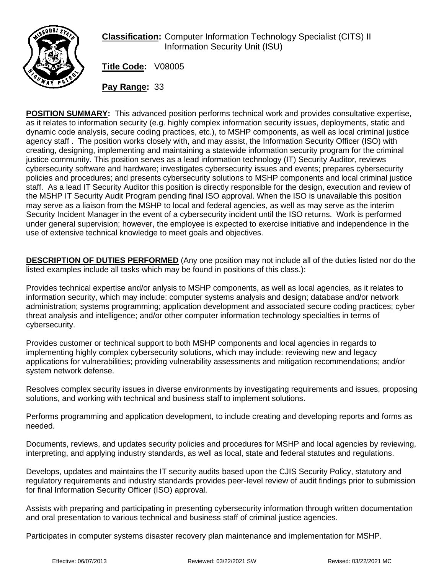

**Classification:** Computer Information Technology Specialist (CITS) II Information Security Unit (ISU)

**Title Code:** V08005

**Pay Range:** 33

**POSITION SUMMARY:** This advanced position performs technical work and provides consultative expertise, as it relates to information security (e.g. highly complex information security issues, deployments, static and dynamic code analysis, secure coding practices, etc.), to MSHP components, as well as local criminal justice agency staff . The position works closely with, and may assist, the Information Security Officer (ISO) with creating, designing, implementing and maintaining a statewide information security program for the criminal justice community. This position serves as a lead information technology (IT) Security Auditor, reviews cybersecurity software and hardware; investigates cybersecurity issues and events; prepares cybersecurity policies and procedures; and presents cybersecurity solutions to MSHP components and local criminal justice staff. As a lead IT Security Auditor this position is directly responsible for the design, execution and review of the MSHP IT Security Audit Program pending final ISO approval. When the ISO is unavailable this position may serve as a liaison from the MSHP to local and federal agencies, as well as may serve as the interim Security Incident Manager in the event of a cybersecurity incident until the ISO returns. Work is performed under general supervision; however, the employee is expected to exercise initiative and independence in the use of extensive technical knowledge to meet goals and objectives.

**DESCRIPTION OF DUTIES PERFORMED** (Any one position may not include all of the duties listed nor do the listed examples include all tasks which may be found in positions of this class.):

Provides technical expertise and/or anlysis to MSHP components, as well as local agencies, as it relates to information security, which may include: computer systems analysis and design; database and/or network administration; systems programming; application development and associated secure coding practices; cyber threat analysis and intelligence; and/or other computer information technology specialties in terms of cybersecurity.

Provides customer or technical support to both MSHP components and local agencies in regards to implementing highly complex cybersecurity solutions, which may include: reviewing new and legacy applications for vulnerabilities; providing vulnerability assessments and mitigation recommendations; and/or system network defense.

Resolves complex security issues in diverse environments by investigating requirements and issues, proposing solutions, and working with technical and business staff to implement solutions.

Performs programming and application development, to include creating and developing reports and forms as needed.

Documents, reviews, and updates security policies and procedures for MSHP and local agencies by reviewing, interpreting, and applying industry standards, as well as local, state and federal statutes and regulations.

Develops, updates and maintains the IT security audits based upon the CJIS Security Policy, statutory and regulatory requirements and industry standards provides peer-level review of audit findings prior to submission for final Information Security Officer (ISO) approval.

Assists with preparing and participating in presenting cybersecurity information through written documentation and oral presentation to various technical and business staff of criminal justice agencies.

Participates in computer systems disaster recovery plan maintenance and implementation for MSHP.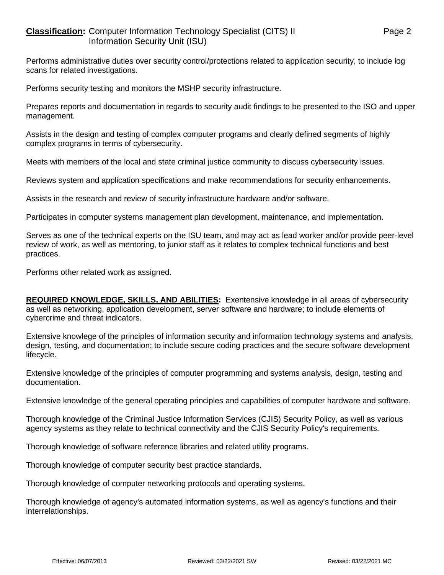## **Classification:** Computer Information Technology Specialist (CITS) II Page 2 Information Security Unit (ISU)

Performs administrative duties over security control/protections related to application security, to include log scans for related investigations.

Performs security testing and monitors the MSHP security infrastructure.

Prepares reports and documentation in regards to security audit findings to be presented to the ISO and upper management.

Assists in the design and testing of complex computer programs and clearly defined segments of highly complex programs in terms of cybersecurity.

Meets with members of the local and state criminal justice community to discuss cybersecurity issues.

Reviews system and application specifications and make recommendations for security enhancements.

Assists in the research and review of security infrastructure hardware and/or software.

Participates in computer systems management plan development, maintenance, and implementation.

Serves as one of the technical experts on the ISU team, and may act as lead worker and/or provide peer-level review of work, as well as mentoring, to junior staff as it relates to complex technical functions and best practices.

Performs other related work as assigned.

**REQUIRED KNOWLEDGE, SKILLS, AND ABILITIES:** Exentensive knowledge in all areas of cybersecurity as well as networking, application development, server software and hardware; to include elements of cybercrime and threat indicators.

Extensive knowlege of the principles of information security and information technology systems and analysis, design, testing, and documentation; to include secure coding practices and the secure software development lifecycle.

Extensive knowledge of the principles of computer programming and systems analysis, design, testing and documentation.

Extensive knowledge of the general operating principles and capabilities of computer hardware and software.

Thorough knowledge of the Criminal Justice Information Services (CJIS) Security Policy, as well as various agency systems as they relate to technical connectivity and the CJIS Security Policy's requirements.

Thorough knowledge of software reference libraries and related utility programs.

Thorough knowledge of computer security best practice standards.

Thorough knowledge of computer networking protocols and operating systems.

Thorough knowledge of agency's automated information systems, as well as agency's functions and their interrelationships.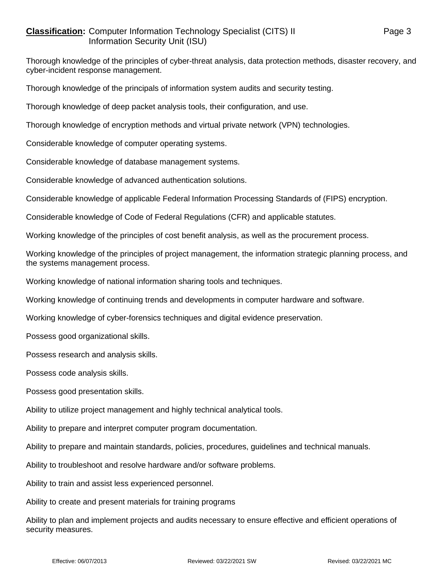## **Classification:** Computer Information Technology Specialist (CITS) II Page 3 Information Security Unit (ISU)

Thorough knowledge of the principles of cyber-threat analysis, data protection methods, disaster recovery, and cyber-incident response management.

Thorough knowledge of the principals of information system audits and security testing.

Thorough knowledge of deep packet analysis tools, their configuration, and use.

Thorough knowledge of encryption methods and virtual private network (VPN) technologies.

Considerable knowledge of computer operating systems.

Considerable knowledge of database management systems.

Considerable knowledge of advanced authentication solutions.

Considerable knowledge of applicable Federal Information Processing Standards of (FIPS) encryption.

Considerable knowledge of Code of Federal Regulations (CFR) and applicable statutes.

Working knowledge of the principles of cost benefit analysis, as well as the procurement process.

Working knowledge of the principles of project management, the information strategic planning process, and the systems management process.

Working knowledge of national information sharing tools and techniques.

Working knowledge of continuing trends and developments in computer hardware and software.

Working knowledge of cyber-forensics techniques and digital evidence preservation.

Possess good organizational skills.

Possess research and analysis skills.

Possess code analysis skills.

Possess good presentation skills.

Ability to utilize project management and highly technical analytical tools.

Ability to prepare and interpret computer program documentation.

Ability to prepare and maintain standards, policies, procedures, guidelines and technical manuals.

Ability to troubleshoot and resolve hardware and/or software problems.

Ability to train and assist less experienced personnel.

Ability to create and present materials for training programs

Ability to plan and implement projects and audits necessary to ensure effective and efficient operations of security measures.